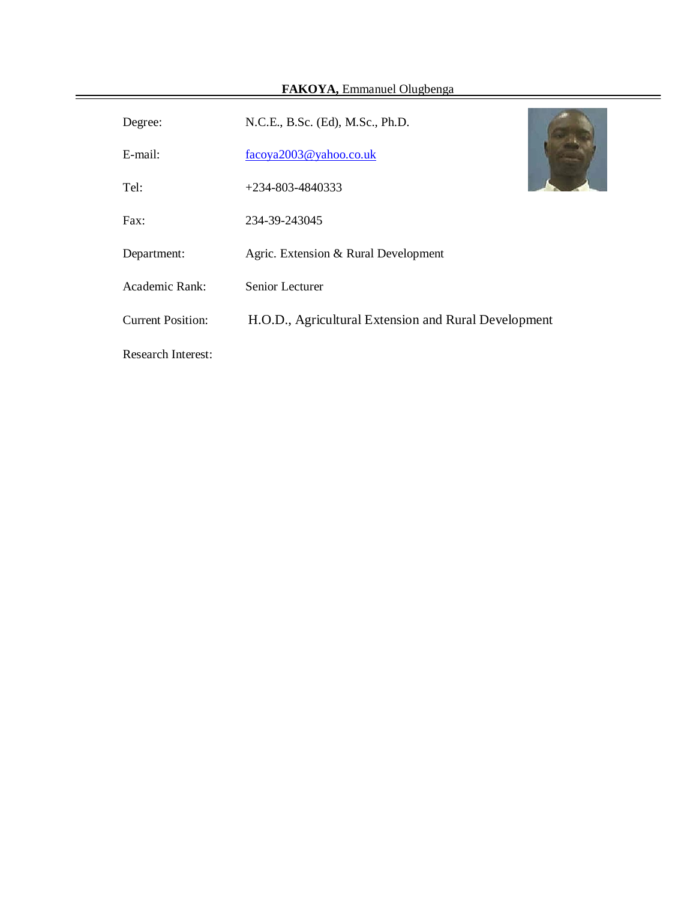÷,

 $\equiv$ 

| Degree:                   | N.C.E., B.Sc. (Ed), M.Sc., Ph.D.                     |  |
|---------------------------|------------------------------------------------------|--|
| E-mail:                   | facoya2003@yahoo.co.uk                               |  |
| Tel:                      | $+234 - 803 - 4840333$                               |  |
| Fax:                      | 234-39-243045                                        |  |
| Department:               | Agric. Extension & Rural Development                 |  |
| Academic Rank:            | Senior Lecturer                                      |  |
| <b>Current Position:</b>  | H.O.D., Agricultural Extension and Rural Development |  |
| <b>Research Interest:</b> |                                                      |  |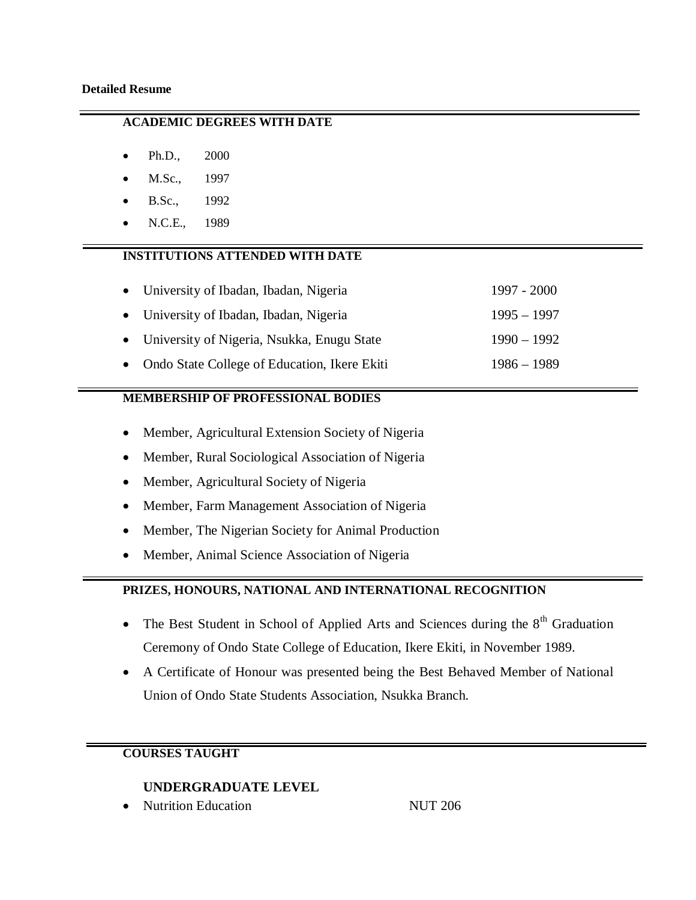## **ACADEMIC DEGREES WITH DATE**

- Ph.D., 2000
- M.Sc., 1997
- B.Sc., 1992
- N.C.E., 1989

### **INSTITUTIONS ATTENDED WITH DATE**

| • University of Ibadan, Ibadan, Nigeria        | 1997 - 2000   |
|------------------------------------------------|---------------|
| • University of Ibadan, Ibadan, Nigeria        | $1995 - 1997$ |
| • University of Nigeria, Nsukka, Enugu State   | $1990 - 1992$ |
| • Ondo State College of Education, Ikere Ekiti | $1986 - 1989$ |

#### **MEMBERSHIP OF PROFESSIONAL BODIES**

- Member, Agricultural Extension Society of Nigeria
- Member, Rural Sociological Association of Nigeria
- Member, Agricultural Society of Nigeria
- Member, Farm Management Association of Nigeria
- Member, The Nigerian Society for Animal Production
- Member, Animal Science Association of Nigeria

# **PRIZES, HONOURS, NATIONAL AND INTERNATIONAL RECOGNITION**

- The Best Student in School of Applied Arts and Sciences during the  $8<sup>th</sup>$  Graduation Ceremony of Ondo State College of Education, Ikere Ekiti, in November 1989.
- A Certificate of Honour was presented being the Best Behaved Member of National Union of Ondo State Students Association, Nsukka Branch.

# **COURSES TAUGHT**

# **UNDERGRADUATE LEVEL**

Nutrition Education **NUT 206**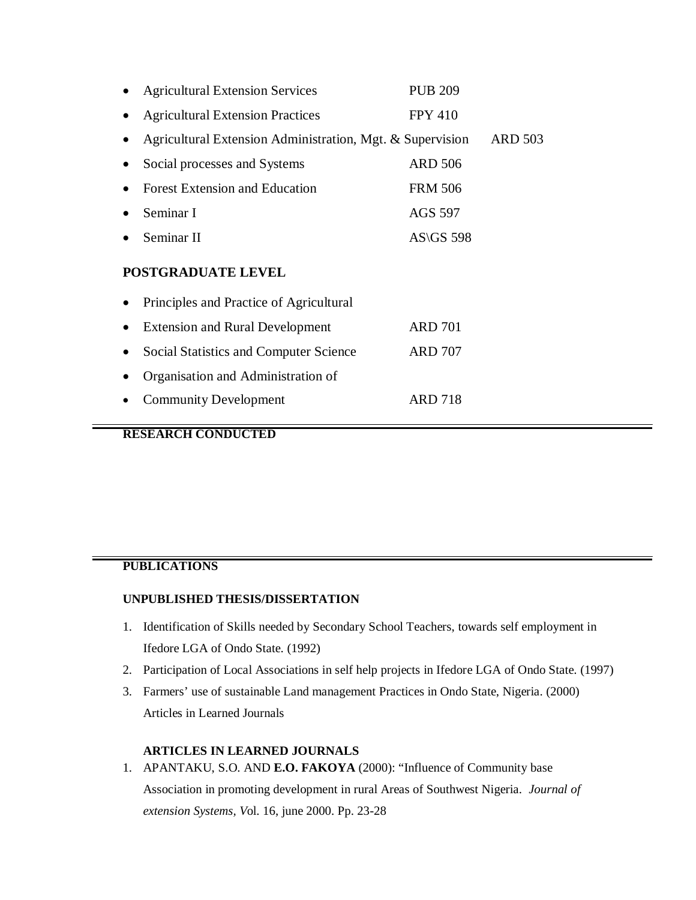|                           | <b>Agricultural Extension Services</b>                    | <b>PUB 209</b>   |                |  |  |
|---------------------------|-----------------------------------------------------------|------------------|----------------|--|--|
|                           | <b>Agricultural Extension Practices</b>                   | <b>FPY 410</b>   |                |  |  |
|                           | Agricultural Extension Administration, Mgt. & Supervision |                  | <b>ARD 503</b> |  |  |
|                           | Social processes and Systems                              | <b>ARD 506</b>   |                |  |  |
|                           | <b>Forest Extension and Education</b>                     | <b>FRM 506</b>   |                |  |  |
|                           | Seminar I                                                 | <b>AGS 597</b>   |                |  |  |
|                           | Seminar II                                                | <b>AS\GS 598</b> |                |  |  |
| <b>POSTGRADUATE LEVEL</b> |                                                           |                  |                |  |  |
|                           | Principles and Practice of Agricultural                   |                  |                |  |  |

| • Extension and Rural Development        | <b>ARD 701</b> |
|------------------------------------------|----------------|
| • Social Statistics and Computer Science | <b>ARD 707</b> |
| • Organisation and Administration of     |                |
| • Community Development                  | <b>ARD 718</b> |

# **RESEARCH CONDUCTED**

#### **PUBLICATIONS**

#### **UNPUBLISHED THESIS/DISSERTATION**

- 1. Identification of Skills needed by Secondary School Teachers, towards self employment in Ifedore LGA of Ondo State. (1992)
- 2. Participation of Local Associations in self help projects in Ifedore LGA of Ondo State. (1997)
- 3. Farmers' use of sustainable Land management Practices in Ondo State, Nigeria. (2000) Articles in Learned Journals

#### **ARTICLES IN LEARNED JOURNALS**

1. APANTAKU, S.O. AND **E.O. FAKOYA** (2000): "Influence of Community base Association in promoting development in rural Areas of Southwest Nigeria. *Journal of extension Systems, V*ol. 16, june 2000. Pp. 23-28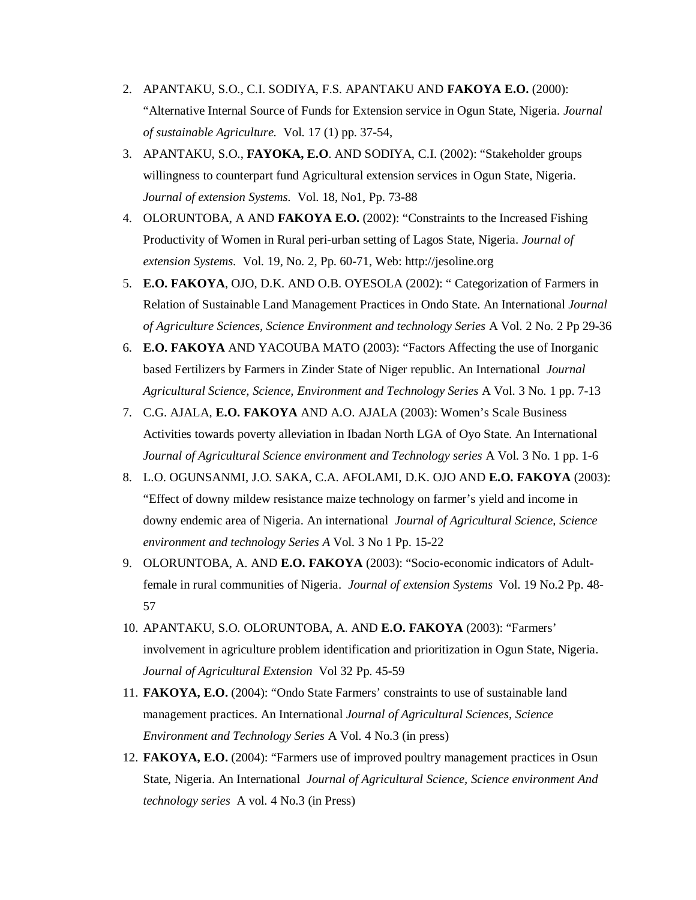- 2. APANTAKU, S.O., C.I. SODIYA, F.S. APANTAKU AND **FAKOYA E.O.** (2000): "Alternative Internal Source of Funds for Extension service in Ogun State, Nigeria. *Journal of sustainable Agriculture.* Vol. 17 (1) pp. 37-54,
- 3. APANTAKU, S.O., **FAYOKA, E.O**. AND SODIYA, C.I. (2002): "Stakeholder groups willingness to counterpart fund Agricultural extension services in Ogun State, Nigeria. *Journal of extension Systems.* Vol. 18, No1, Pp. 73-88
- 4. OLORUNTOBA, A AND **FAKOYA E.O.** (2002): "Constraints to the Increased Fishing Productivity of Women in Rural peri-urban setting of Lagos State, Nigeria. *Journal of extension Systems.* Vol. 19, No. 2, Pp. 60-71, Web: http://jesoline.org
- 5. **E.O. FAKOYA**, OJO, D.K. AND O.B. OYESOLA (2002): " Categorization of Farmers in Relation of Sustainable Land Management Practices in Ondo State. An International *Journal of Agriculture Sciences, Science Environment and technology Series* A Vol. 2 No. 2 Pp 29-36
- 6. **E.O. FAKOYA** AND YACOUBA MATO (2003): "Factors Affecting the use of Inorganic based Fertilizers by Farmers in Zinder State of Niger republic. An International *Journal Agricultural Science, Science, Environment and Technology Series* A Vol. 3 No. 1 pp. 7-13
- 7. C.G. AJALA, **E.O. FAKOYA** AND A.O. AJALA (2003): Women's Scale Business Activities towards poverty alleviation in Ibadan North LGA of Oyo State. An International *Journal of Agricultural Science environment and Technology series* A Vol. 3 No. 1 pp. 1-6
- 8. L.O. OGUNSANMI, J.O. SAKA, C.A. AFOLAMI, D.K. OJO AND **E.O. FAKOYA** (2003): "Effect of downy mildew resistance maize technology on farmer's yield and income in downy endemic area of Nigeria. An international *Journal of Agricultural Science, Science environment and technology Series A* Vol. 3 No 1 Pp. 15-22
- 9. OLORUNTOBA, A. AND **E.O. FAKOYA** (2003): "Socio-economic indicators of Adultfemale in rural communities of Nigeria. *Journal of extension Systems* Vol. 19 No.2 Pp. 48- 57
- 10. APANTAKU, S.O. OLORUNTOBA, A. AND **E.O. FAKOYA** (2003): "Farmers' involvement in agriculture problem identification and prioritization in Ogun State, Nigeria. *Journal of Agricultural Extension* Vol 32 Pp. 45-59
- 11. **FAKOYA, E.O.** (2004): "Ondo State Farmers' constraints to use of sustainable land management practices. An International *Journal of Agricultural Sciences, Science Environment and Technology Series* A Vol. 4 No.3 (in press)
- 12. **FAKOYA, E.O.** (2004): "Farmers use of improved poultry management practices in Osun State, Nigeria. An International *Journal of Agricultural Science, Science environment And technology series* A vol. 4 No.3 (in Press)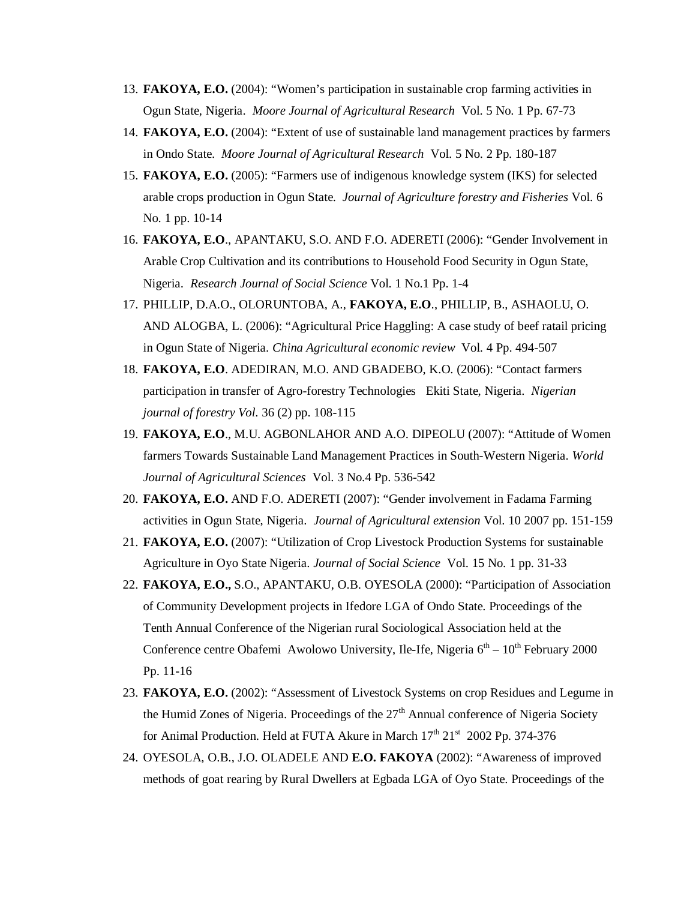- 13. **FAKOYA, E.O.** (2004): "Women's participation in sustainable crop farming activities in Ogun State, Nigeria. *Moore Journal of Agricultural Research* Vol. 5 No. 1 Pp. 67-73
- 14. **FAKOYA, E.O.** (2004): "Extent of use of sustainable land management practices by farmers in Ondo State. *Moore Journal of Agricultural Research* Vol. 5 No. 2 Pp. 180-187
- 15. **FAKOYA, E.O.** (2005): "Farmers use of indigenous knowledge system (IKS) for selected arable crops production in Ogun State. *Journal of Agriculture forestry and Fisheries* Vol. 6 No. 1 pp. 10-14
- 16. **FAKOYA, E.O**., APANTAKU, S.O. AND F.O. ADERETI (2006): "Gender Involvement in Arable Crop Cultivation and its contributions to Household Food Security in Ogun State, Nigeria. *Research Journal of Social Science* Vol. 1 No.1 Pp. 1-4
- 17. PHILLIP, D.A.O., OLORUNTOBA, A., **FAKOYA, E.O**., PHILLIP, B., ASHAOLU, O. AND ALOGBA, L. (2006): "Agricultural Price Haggling: A case study of beef ratail pricing in Ogun State of Nigeria. *China Agricultural economic review* Vol. 4 Pp. 494-507
- 18. **FAKOYA, E.O**. ADEDIRAN, M.O. AND GBADEBO, K.O. (2006): "Contact farmers participation in transfer of Agro-forestry Technologies Ekiti State, Nigeria. *Nigerian journal of forestry Vol.* 36 (2) pp. 108-115
- 19. **FAKOYA, E.O**., M.U. AGBONLAHOR AND A.O. DIPEOLU (2007): "Attitude of Women farmers Towards Sustainable Land Management Practices in South-Western Nigeria. *World Journal of Agricultural Sciences* Vol. 3 No.4 Pp. 536-542
- 20. **FAKOYA, E.O.** AND F.O. ADERETI (2007): "Gender involvement in Fadama Farming activities in Ogun State, Nigeria. *Journal of Agricultural extension* Vol. 10 2007 pp. 151-159
- 21. **FAKOYA, E.O.** (2007): "Utilization of Crop Livestock Production Systems for sustainable Agriculture in Oyo State Nigeria. *Journal of Social Science* Vol. 15 No. 1 pp. 31-33
- 22. **FAKOYA, E.O.,** S.O., APANTAKU, O.B. OYESOLA (2000): "Participation of Association of Community Development projects in Ifedore LGA of Ondo State. Proceedings of the Tenth Annual Conference of the Nigerian rural Sociological Association held at the Conference centre Obafemi Awolowo University, Ile-Ife, Nigeria  $6<sup>th</sup> - 10<sup>th</sup>$  February 2000 Pp. 11-16
- 23. **FAKOYA, E.O.** (2002): "Assessment of Livestock Systems on crop Residues and Legume in the Humid Zones of Nigeria. Proceedings of the  $27<sup>th</sup>$  Annual conference of Nigeria Society for Animal Production. Held at FUTA Akure in March 17<sup>th</sup> 21<sup>st</sup> 2002 Pp. 374-376
- 24. OYESOLA, O.B., J.O. OLADELE AND **E.O. FAKOYA** (2002): "Awareness of improved methods of goat rearing by Rural Dwellers at Egbada LGA of Oyo State. Proceedings of the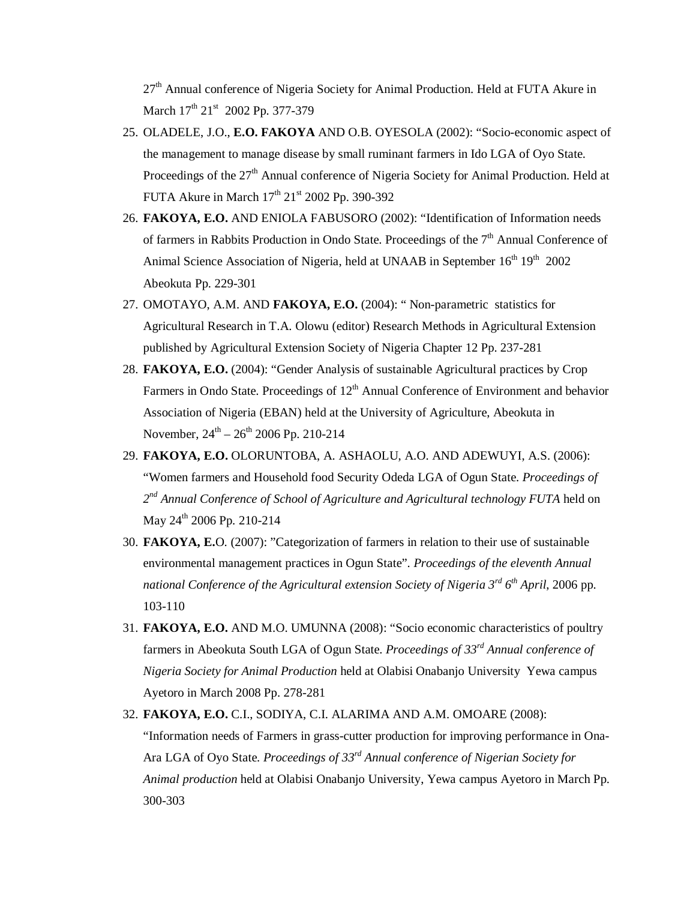$27<sup>th</sup>$  Annual conference of Nigeria Society for Animal Production. Held at FUTA Akure in March 17<sup>th</sup> 21<sup>st</sup> 2002 Pp. 377-379

- 25. OLADELE, J.O., **E.O. FAKOYA** AND O.B. OYESOLA (2002): "Socio-economic aspect of the management to manage disease by small ruminant farmers in Ido LGA of Oyo State. Proceedings of the  $27<sup>th</sup>$  Annual conference of Nigeria Society for Animal Production. Held at FUTA Akure in March  $17^{\text{th}}$   $21^{\text{st}}$  2002 Pp. 390-392
- 26. **FAKOYA, E.O.** AND ENIOLA FABUSORO (2002): "Identification of Information needs of farmers in Rabbits Production in Ondo State. Proceedings of the  $7<sup>th</sup>$  Annual Conference of Animal Science Association of Nigeria, held at UNAAB in September 16<sup>th</sup> 19<sup>th</sup> 2002 Abeokuta Pp. 229-301
- 27. OMOTAYO, A.M. AND **FAKOYA, E.O.** (2004): " Non-parametric statistics for Agricultural Research in T.A. Olowu (editor) Research Methods in Agricultural Extension published by Agricultural Extension Society of Nigeria Chapter 12 Pp. 237-281
- 28. **FAKOYA, E.O.** (2004): "Gender Analysis of sustainable Agricultural practices by Crop Farmers in Ondo State. Proceedings of  $12<sup>th</sup>$  Annual Conference of Environment and behavior Association of Nigeria (EBAN) held at the University of Agriculture, Abeokuta in November,  $24^{\text{th}} - 26^{\text{th}}$  2006 Pp. 210-214
- 29. **FAKOYA, E.O.** OLORUNTOBA, A. ASHAOLU, A.O. AND ADEWUYI, A.S. (2006): "Women farmers and Household food Security Odeda LGA of Ogun State. *Proceedings of*  2<sup>nd</sup> Annual Conference of School of Agriculture and Agricultural technology FUTA held on May  $24^{th}$  2006 Pp. 210-214
- 30. **FAKOYA, E.**O. (2007): "Categorization of farmers in relation to their use of sustainable environmental management practices in Ogun State". *Proceedings of the eleventh Annual national Conference of the Agricultural extension Society of Nigeria 3rd 6 th April*, 2006 pp. 103-110
- 31. **FAKOYA, E.O.** AND M.O. UMUNNA (2008): "Socio economic characteristics of poultry farmers in Abeokuta South LGA of Ogun State. *Proceedings of 33rd Annual conference of Nigeria Society for Animal Production* held at Olabisi Onabanjo University Yewa campus Ayetoro in March 2008 Pp. 278-281

32. **FAKOYA, E.O.** C.I., SODIYA, C.I. ALARIMA AND A.M. OMOARE (2008): "Information needs of Farmers in grass-cutter production for improving performance in Ona-Ara LGA of Oyo State. *Proceedings of 33rd Annual conference of Nigerian Society for Animal production* held at Olabisi Onabanjo University, Yewa campus Ayetoro in March Pp. 300-303